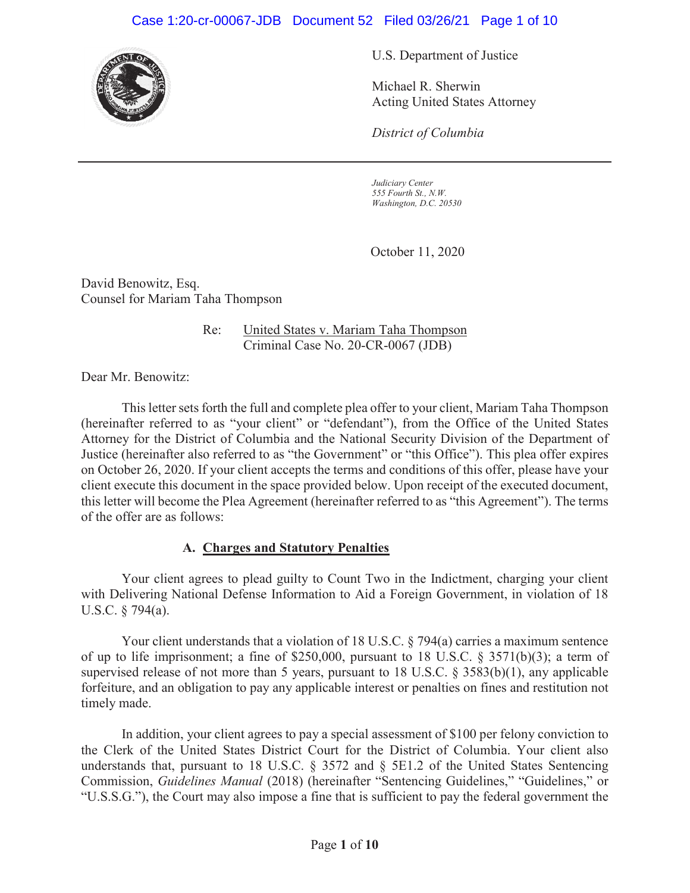#### Case 1:20-cr-00067-JDB Document 52 Filed 03/26/21 Page 1 of 10



U.S. Department of Justice

Michael R. Sherwin Acting United States Attorney

*District of Columbia*

*Judiciary Center 555 Fourth St., N.W. Washington, D.C. 20530*

October 11, 2020

David Benowitz, Esq. Counsel for Mariam Taha Thompson

> Re: United States v. Mariam Taha Thompson Criminal Case No. 20-CR-0067 (JDB)

Dear Mr. Benowitz:

This letter sets forth the full and complete plea offer to your client, Mariam Taha Thompson (hereinafter referred to as "your client" or "defendant"), from the Office of the United States Attorney for the District of Columbia and the National Security Division of the Department of Justice (hereinafter also referred to as "the Government" or "this Office"). This plea offer expires on October 26, 2020. If your client accepts the terms and conditions of this offer, please have your client execute this document in the space provided below. Upon receipt of the executed document, this letter will become the Plea Agreement (hereinafter referred to as "this Agreement"). The terms of the offer are as follows:

#### **A. Charges and Statutory Penalties**

Your client agrees to plead guilty to Count Two in the Indictment, charging your client with Delivering National Defense Information to Aid a Foreign Government, in violation of 18 U.S.C. § 794(a).

Your client understands that a violation of 18 U.S.C. § 794(a) carries a maximum sentence of up to life imprisonment; a fine of \$250,000, pursuant to 18 U.S.C. § 3571(b)(3); a term of supervised release of not more than 5 years, pursuant to 18 U.S.C. § 3583(b)(1), any applicable forfeiture, and an obligation to pay any applicable interest or penalties on fines and restitution not timely made.

In addition, your client agrees to pay a special assessment of \$100 per felony conviction to the Clerk of the United States District Court for the District of Columbia. Your client also understands that, pursuant to 18 U.S.C. § 3572 and § 5E1.2 of the United States Sentencing Commission, *Guidelines Manual* (2018) (hereinafter "Sentencing Guidelines," "Guidelines," or "U.S.S.G."), the Court may also impose a fine that is sufficient to pay the federal government the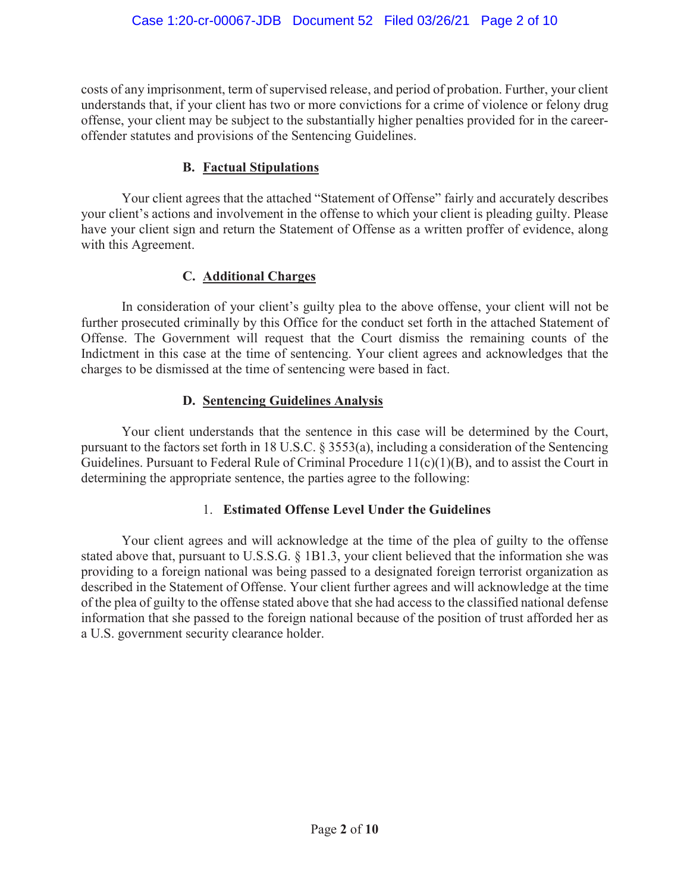costs of any imprisonment, term of supervised release, and period of probation. Further, your client understands that, if your client has two or more convictions for a crime of violence or felony drug offense, your client may be subject to the substantially higher penalties provided for in the careeroffender statutes and provisions of the Sentencing Guidelines.

#### **B. Factual Stipulations**

Your client agrees that the attached "Statement of Offense" fairly and accurately describes your client's actions and involvement in the offense to which your client is pleading guilty. Please have your client sign and return the Statement of Offense as a written proffer of evidence, along with this Agreement.

## **C. Additional Charges**

In consideration of your client's guilty plea to the above offense, your client will not be further prosecuted criminally by this Office for the conduct set forth in the attached Statement of Offense. The Government will request that the Court dismiss the remaining counts of the Indictment in this case at the time of sentencing. Your client agrees and acknowledges that the charges to be dismissed at the time of sentencing were based in fact.

#### **D. Sentencing Guidelines Analysis**

Your client understands that the sentence in this case will be determined by the Court, pursuant to the factors set forth in 18 U.S.C. § 3553(a), including a consideration of the Sentencing Guidelines. Pursuant to Federal Rule of Criminal Procedure 11(c)(1)(B), and to assist the Court in determining the appropriate sentence, the parties agree to the following:

## 1. **Estimated Offense Level Under the Guidelines**

Your client agrees and will acknowledge at the time of the plea of guilty to the offense stated above that, pursuant to U.S.S.G. § 1B1.3, your client believed that the information she was providing to a foreign national was being passed to a designated foreign terrorist organization as described in the Statement of Offense. Your client further agrees and will acknowledge at the time of the plea of guilty to the offense stated above that she had access to the classified national defense information that she passed to the foreign national because of the position of trust afforded her as a U.S. government security clearance holder.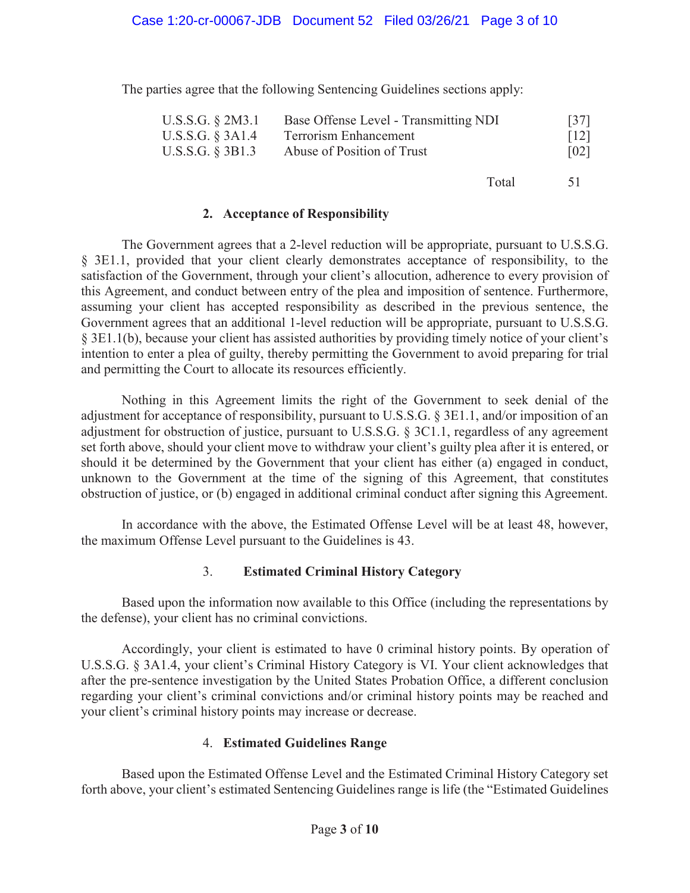The parties agree that the following Sentencing Guidelines sections apply:

| U.S.S.G. § 2M3.1    | Base Offense Level - Transmitting NDI | $[37]$             |
|---------------------|---------------------------------------|--------------------|
| U.S.S.G. § 3A1.4    | <b>Terrorism Enhancement</b>          | $\lceil 12 \rceil$ |
| U.S.S.G. $\S$ 3B1.3 | Abuse of Position of Trust            | $\lceil 02 \rceil$ |
|                     |                                       |                    |

Total 51

#### **2. Acceptance of Responsibility**

The Government agrees that a 2-level reduction will be appropriate, pursuant to U.S.S.G. § 3E1.1, provided that your client clearly demonstrates acceptance of responsibility, to the satisfaction of the Government, through your client's allocution, adherence to every provision of this Agreement, and conduct between entry of the plea and imposition of sentence. Furthermore, assuming your client has accepted responsibility as described in the previous sentence, the Government agrees that an additional 1-level reduction will be appropriate, pursuant to U.S.S.G. § 3E1.1(b), because your client has assisted authorities by providing timely notice of your client's intention to enter a plea of guilty, thereby permitting the Government to avoid preparing for trial and permitting the Court to allocate its resources efficiently.

Nothing in this Agreement limits the right of the Government to seek denial of the adjustment for acceptance of responsibility, pursuant to U.S.S.G. § 3E1.1, and/or imposition of an adjustment for obstruction of justice, pursuant to U.S.S.G. § 3C1.1, regardless of any agreement set forth above, should your client move to withdraw your client's guilty plea after it is entered, or should it be determined by the Government that your client has either (a) engaged in conduct, unknown to the Government at the time of the signing of this Agreement, that constitutes obstruction of justice, or (b) engaged in additional criminal conduct after signing this Agreement.

In accordance with the above, the Estimated Offense Level will be at least 48, however, the maximum Offense Level pursuant to the Guidelines is 43.

#### 3. **Estimated Criminal History Category**

Based upon the information now available to this Office (including the representations by the defense), your client has no criminal convictions.

Accordingly, your client is estimated to have 0 criminal history points. By operation of U.S.S.G. § 3A1.4, your client's Criminal History Category is VI. Your client acknowledges that after the pre-sentence investigation by the United States Probation Office, a different conclusion regarding your client's criminal convictions and/or criminal history points may be reached and your client's criminal history points may increase or decrease.

## 4. **Estimated Guidelines Range**

Based upon the Estimated Offense Level and the Estimated Criminal History Category set forth above, your client's estimated Sentencing Guidelines range is life (the "Estimated Guidelines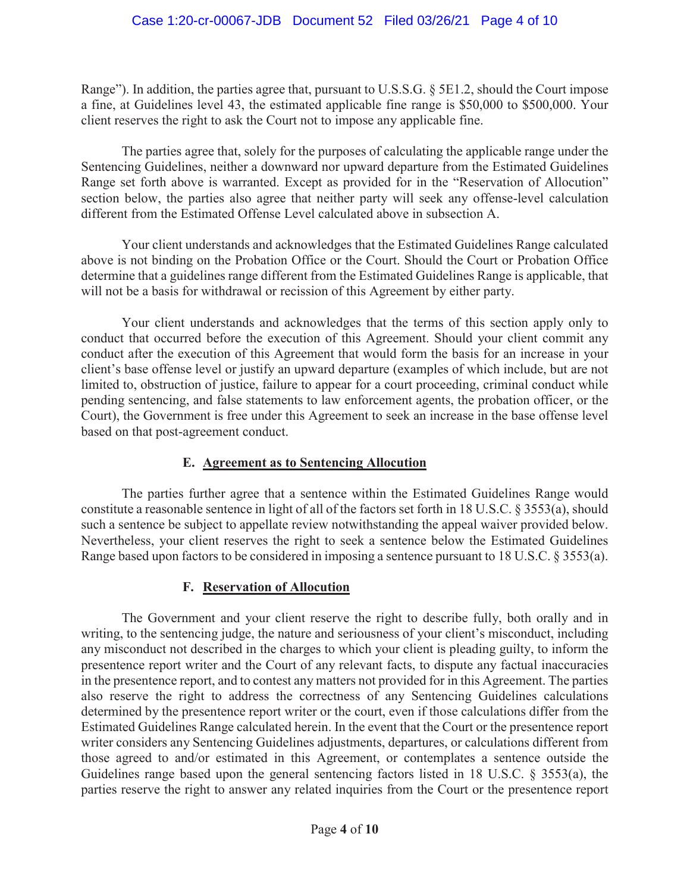Range"). In addition, the parties agree that, pursuant to U.S.S.G. § 5E1.2, should the Court impose a fine, at Guidelines level 43, the estimated applicable fine range is \$50,000 to \$500,000. Your client reserves the right to ask the Court not to impose any applicable fine.

The parties agree that, solely for the purposes of calculating the applicable range under the Sentencing Guidelines, neither a downward nor upward departure from the Estimated Guidelines Range set forth above is warranted. Except as provided for in the "Reservation of Allocution" section below, the parties also agree that neither party will seek any offense-level calculation different from the Estimated Offense Level calculated above in subsection A.

Your client understands and acknowledges that the Estimated Guidelines Range calculated above is not binding on the Probation Office or the Court. Should the Court or Probation Office determine that a guidelines range different from the Estimated Guidelines Range is applicable, that will not be a basis for withdrawal or recission of this Agreement by either party.

Your client understands and acknowledges that the terms of this section apply only to conduct that occurred before the execution of this Agreement. Should your client commit any conduct after the execution of this Agreement that would form the basis for an increase in your client's base offense level or justify an upward departure (examples of which include, but are not limited to, obstruction of justice, failure to appear for a court proceeding, criminal conduct while pending sentencing, and false statements to law enforcement agents, the probation officer, or the Court), the Government is free under this Agreement to seek an increase in the base offense level based on that post-agreement conduct.

## **E. Agreement as to Sentencing Allocution**

The parties further agree that a sentence within the Estimated Guidelines Range would constitute a reasonable sentence in light of all of the factors set forth in 18 U.S.C. § 3553(a), should such a sentence be subject to appellate review notwithstanding the appeal waiver provided below. Nevertheless, your client reserves the right to seek a sentence below the Estimated Guidelines Range based upon factors to be considered in imposing a sentence pursuant to 18 U.S.C. § 3553(a).

## **F. Reservation of Allocution**

The Government and your client reserve the right to describe fully, both orally and in writing, to the sentencing judge, the nature and seriousness of your client's misconduct, including any misconduct not described in the charges to which your client is pleading guilty, to inform the presentence report writer and the Court of any relevant facts, to dispute any factual inaccuracies in the presentence report, and to contest any matters not provided for in this Agreement. The parties also reserve the right to address the correctness of any Sentencing Guidelines calculations determined by the presentence report writer or the court, even if those calculations differ from the Estimated Guidelines Range calculated herein. In the event that the Court or the presentence report writer considers any Sentencing Guidelines adjustments, departures, or calculations different from those agreed to and/or estimated in this Agreement, or contemplates a sentence outside the Guidelines range based upon the general sentencing factors listed in 18 U.S.C. § 3553(a), the parties reserve the right to answer any related inquiries from the Court or the presentence report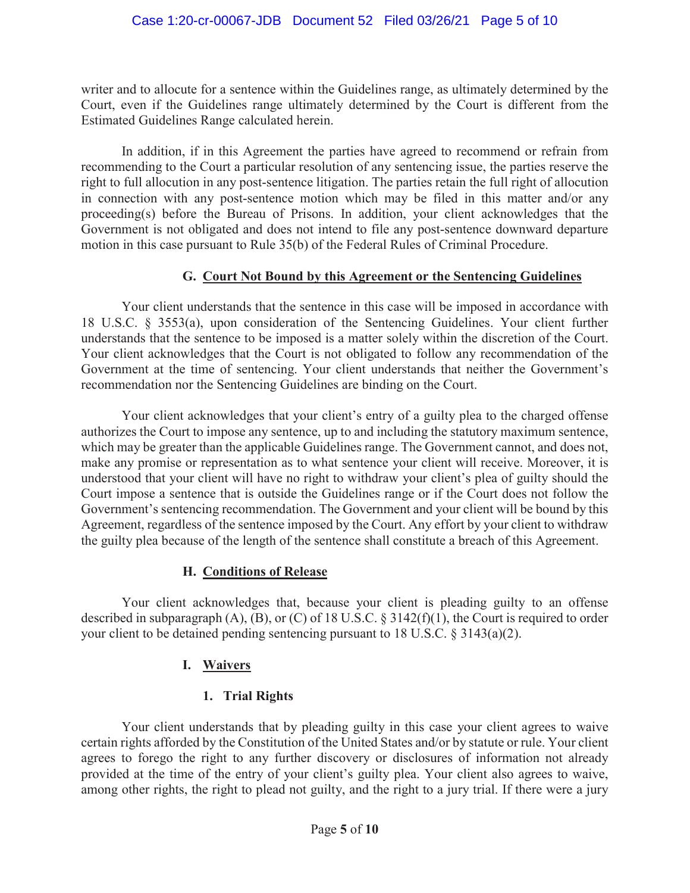writer and to allocute for a sentence within the Guidelines range, as ultimately determined by the Court, even if the Guidelines range ultimately determined by the Court is different from the Estimated Guidelines Range calculated herein.

In addition, if in this Agreement the parties have agreed to recommend or refrain from recommending to the Court a particular resolution of any sentencing issue, the parties reserve the right to full allocution in any post-sentence litigation. The parties retain the full right of allocution in connection with any post-sentence motion which may be filed in this matter and/or any proceeding(s) before the Bureau of Prisons. In addition, your client acknowledges that the Government is not obligated and does not intend to file any post-sentence downward departure motion in this case pursuant to Rule 35(b) of the Federal Rules of Criminal Procedure.

## **G. Court Not Bound by this Agreement or the Sentencing Guidelines**

Your client understands that the sentence in this case will be imposed in accordance with 18 U.S.C. § 3553(a), upon consideration of the Sentencing Guidelines. Your client further understands that the sentence to be imposed is a matter solely within the discretion of the Court. Your client acknowledges that the Court is not obligated to follow any recommendation of the Government at the time of sentencing. Your client understands that neither the Government's recommendation nor the Sentencing Guidelines are binding on the Court.

Your client acknowledges that your client's entry of a guilty plea to the charged offense authorizes the Court to impose any sentence, up to and including the statutory maximum sentence, which may be greater than the applicable Guidelines range. The Government cannot, and does not, make any promise or representation as to what sentence your client will receive. Moreover, it is understood that your client will have no right to withdraw your client's plea of guilty should the Court impose a sentence that is outside the Guidelines range or if the Court does not follow the Government's sentencing recommendation. The Government and your client will be bound by this Agreement, regardless of the sentence imposed by the Court. Any effort by your client to withdraw the guilty plea because of the length of the sentence shall constitute a breach of this Agreement.

## **H. Conditions of Release**

Your client acknowledges that, because your client is pleading guilty to an offense described in subparagraph (A), (B), or (C) of 18 U.S.C. § 3142(f)(1), the Court is required to order your client to be detained pending sentencing pursuant to 18 U.S.C. § 3143(a)(2).

## **I. Waivers**

# **1. Trial Rights**

Your client understands that by pleading guilty in this case your client agrees to waive certain rights afforded by the Constitution of the United States and/or by statute or rule. Your client agrees to forego the right to any further discovery or disclosures of information not already provided at the time of the entry of your client's guilty plea. Your client also agrees to waive, among other rights, the right to plead not guilty, and the right to a jury trial. If there were a jury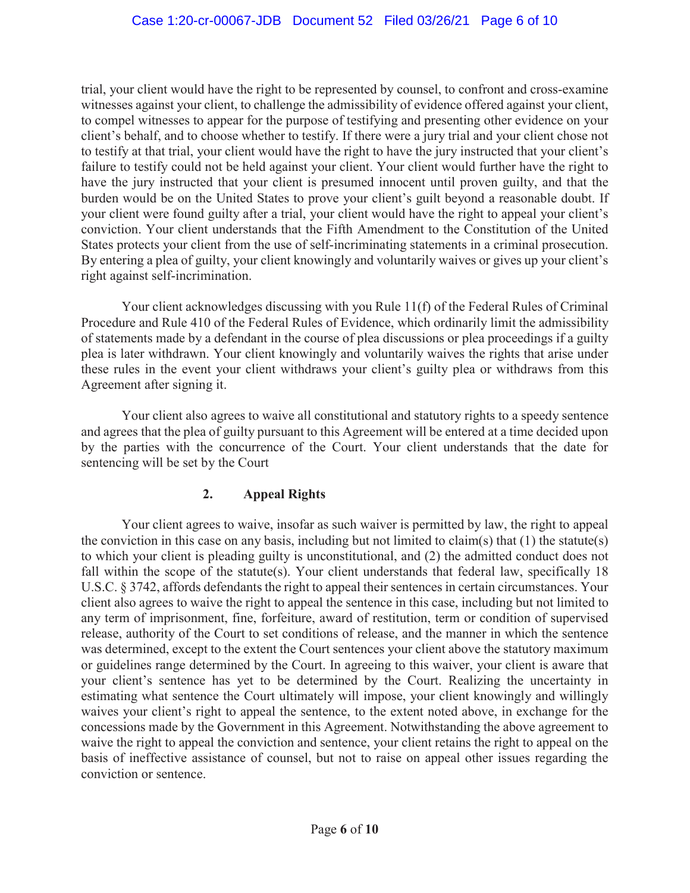trial, your client would have the right to be represented by counsel, to confront and cross-examine witnesses against your client, to challenge the admissibility of evidence offered against your client, to compel witnesses to appear for the purpose of testifying and presenting other evidence on your client's behalf, and to choose whether to testify. If there were a jury trial and your client chose not to testify at that trial, your client would have the right to have the jury instructed that your client's failure to testify could not be held against your client. Your client would further have the right to have the jury instructed that your client is presumed innocent until proven guilty, and that the burden would be on the United States to prove your client's guilt beyond a reasonable doubt. If your client were found guilty after a trial, your client would have the right to appeal your client's conviction. Your client understands that the Fifth Amendment to the Constitution of the United States protects your client from the use of self-incriminating statements in a criminal prosecution. By entering a plea of guilty, your client knowingly and voluntarily waives or gives up your client's right against self-incrimination.

Your client acknowledges discussing with you Rule 11(f) of the Federal Rules of Criminal Procedure and Rule 410 of the Federal Rules of Evidence, which ordinarily limit the admissibility of statements made by a defendant in the course of plea discussions or plea proceedings if a guilty plea is later withdrawn. Your client knowingly and voluntarily waives the rights that arise under these rules in the event your client withdraws your client's guilty plea or withdraws from this Agreement after signing it.

Your client also agrees to waive all constitutional and statutory rights to a speedy sentence and agrees that the plea of guilty pursuant to this Agreement will be entered at a time decided upon by the parties with the concurrence of the Court. Your client understands that the date for sentencing will be set by the Court

## **2. Appeal Rights**

Your client agrees to waive, insofar as such waiver is permitted by law, the right to appeal the conviction in this case on any basis, including but not limited to claim(s) that  $(1)$  the statute(s) to which your client is pleading guilty is unconstitutional, and (2) the admitted conduct does not fall within the scope of the statute(s). Your client understands that federal law, specifically 18 U.S.C. § 3742, affords defendants the right to appeal their sentences in certain circumstances. Your client also agrees to waive the right to appeal the sentence in this case, including but not limited to any term of imprisonment, fine, forfeiture, award of restitution, term or condition of supervised release, authority of the Court to set conditions of release, and the manner in which the sentence was determined, except to the extent the Court sentences your client above the statutory maximum or guidelines range determined by the Court. In agreeing to this waiver, your client is aware that your client's sentence has yet to be determined by the Court. Realizing the uncertainty in estimating what sentence the Court ultimately will impose, your client knowingly and willingly waives your client's right to appeal the sentence, to the extent noted above, in exchange for the concessions made by the Government in this Agreement. Notwithstanding the above agreement to waive the right to appeal the conviction and sentence, your client retains the right to appeal on the basis of ineffective assistance of counsel, but not to raise on appeal other issues regarding the conviction or sentence.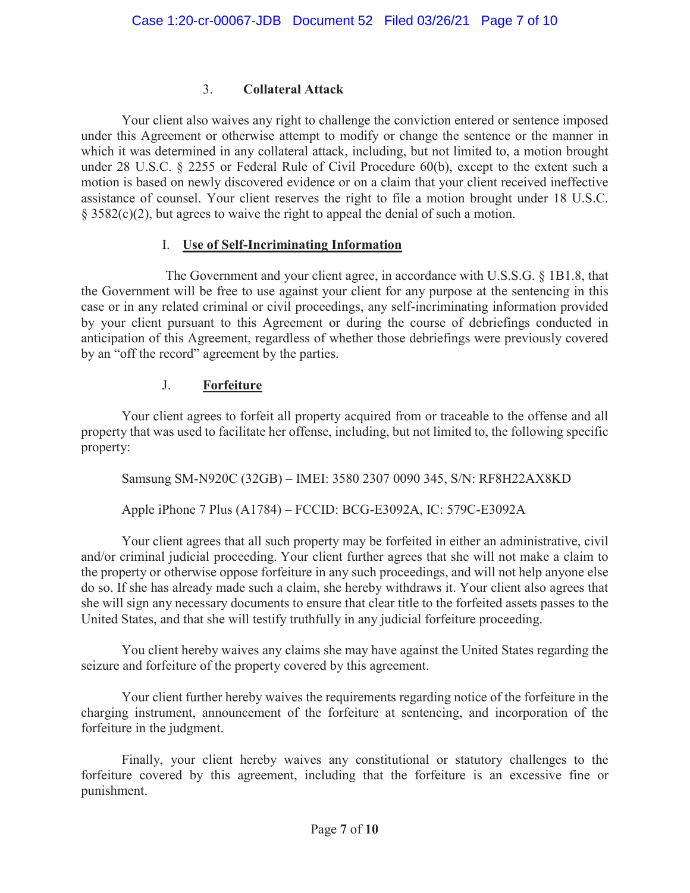#### 3. **Collateral Attack**

Your client also waives any right to challenge the conviction entered or sentence imposed under this Agreement or otherwise attempt to modify or change the sentence or the manner in which it was determined in any collateral attack, including, but not limited to, a motion brought under 28 U.S.C. § 2255 or Federal Rule of Civil Procedure 60(b), except to the extent such a motion is based on newly discovered evidence or on a claim that your client received ineffective assistance of counsel. Your client reserves the right to file a motion brought under 18 U.S.C. § 3582(c)(2), but agrees to waive the right to appeal the denial of such a motion.

## I. **Use of Self-Incriminating Information**

The Government and your client agree, in accordance with U.S.S.G. § 1B1.8, that the Government will be free to use against your client for any purpose at the sentencing in this case or in any related criminal or civil proceedings, any self-incriminating information provided by your client pursuant to this Agreement or during the course of debriefings conducted in anticipation of this Agreement, regardless of whether those debriefings were previously covered by an "off the record" agreement by the parties.

## J. **Forfeiture**

Your client agrees to forfeit all property acquired from or traceable to the offense and all property that was used to facilitate her offense, including, but not limited to, the following specific property:

Samsung SM-N920C (32GB) – IMEI: 3580 2307 0090 345, S/N: RF8H22AX8KD

Apple iPhone 7 Plus (A1784) – FCCID: BCG-E3092A, IC: 579C-E3092A

Your client agrees that all such property may be forfeited in either an administrative, civil and/or criminal judicial proceeding. Your client further agrees that she will not make a claim to the property or otherwise oppose forfeiture in any such proceedings, and will not help anyone else do so. If she has already made such a claim, she hereby withdraws it. Your client also agrees that she will sign any necessary documents to ensure that clear title to the forfeited assets passes to the United States, and that she will testify truthfully in any judicial forfeiture proceeding.

You client hereby waives any claims she may have against the United States regarding the seizure and forfeiture of the property covered by this agreement.

Your client further hereby waives the requirements regarding notice of the forfeiture in the charging instrument, announcement of the forfeiture at sentencing, and incorporation of the forfeiture in the judgment.

Finally, your client hereby waives any constitutional or statutory challenges to the forfeiture covered by this agreement, including that the forfeiture is an excessive fine or punishment.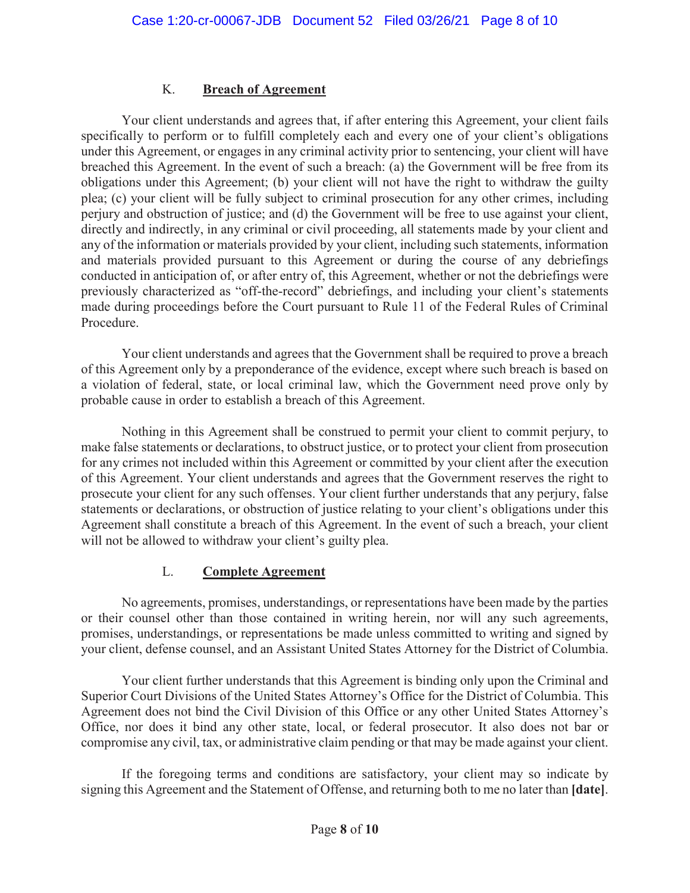## K. **Breach of Agreement**

Your client understands and agrees that, if after entering this Agreement, your client fails specifically to perform or to fulfill completely each and every one of your client's obligations under this Agreement, or engages in any criminal activity prior to sentencing, your client will have breached this Agreement. In the event of such a breach: (a) the Government will be free from its obligations under this Agreement; (b) your client will not have the right to withdraw the guilty plea; (c) your client will be fully subject to criminal prosecution for any other crimes, including perjury and obstruction of justice; and (d) the Government will be free to use against your client, directly and indirectly, in any criminal or civil proceeding, all statements made by your client and any of the information or materials provided by your client, including such statements, information and materials provided pursuant to this Agreement or during the course of any debriefings conducted in anticipation of, or after entry of, this Agreement, whether or not the debriefings were previously characterized as "off-the-record" debriefings, and including your client's statements made during proceedings before the Court pursuant to Rule 11 of the Federal Rules of Criminal Procedure.

Your client understands and agrees that the Government shall be required to prove a breach of this Agreement only by a preponderance of the evidence, except where such breach is based on a violation of federal, state, or local criminal law, which the Government need prove only by probable cause in order to establish a breach of this Agreement.

Nothing in this Agreement shall be construed to permit your client to commit perjury, to make false statements or declarations, to obstruct justice, or to protect your client from prosecution for any crimes not included within this Agreement or committed by your client after the execution of this Agreement. Your client understands and agrees that the Government reserves the right to prosecute your client for any such offenses. Your client further understands that any perjury, false statements or declarations, or obstruction of justice relating to your client's obligations under this Agreement shall constitute a breach of this Agreement. In the event of such a breach, your client will not be allowed to withdraw your client's guilty plea.

## L. **Complete Agreement**

No agreements, promises, understandings, or representations have been made by the parties or their counsel other than those contained in writing herein, nor will any such agreements, promises, understandings, or representations be made unless committed to writing and signed by your client, defense counsel, and an Assistant United States Attorney for the District of Columbia.

Your client further understands that this Agreement is binding only upon the Criminal and Superior Court Divisions of the United States Attorney's Office for the District of Columbia. This Agreement does not bind the Civil Division of this Office or any other United States Attorney's Office, nor does it bind any other state, local, or federal prosecutor. It also does not bar or compromise any civil, tax, or administrative claim pending or that may be made against your client.

If the foregoing terms and conditions are satisfactory, your client may so indicate by signing this Agreement and the Statement of Offense, and returning both to me no later than **[date]**.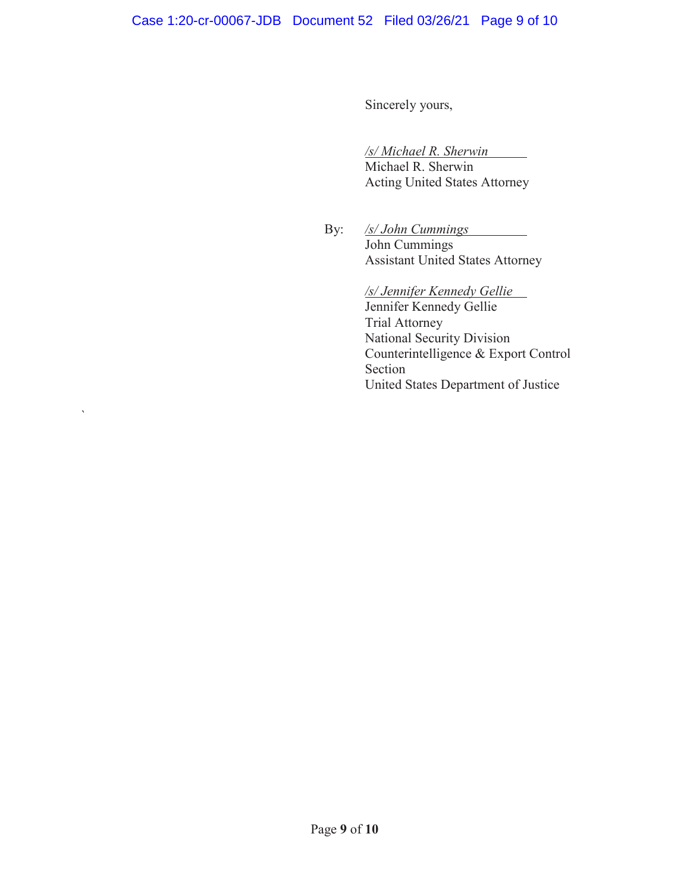$\checkmark$ 

Sincerely yours,

*/s/ Michael R. Sherwin* 

Michael R. Sherwin Acting United States Attorney

By: */s/ John Cummings*  John Cummings Assistant United States Attorney

> */s/ Jennifer Kennedy Gellie* Jennifer Kennedy Gellie Trial Attorney National Security Division Counterintelligence & Export Control Section United States Department of Justice